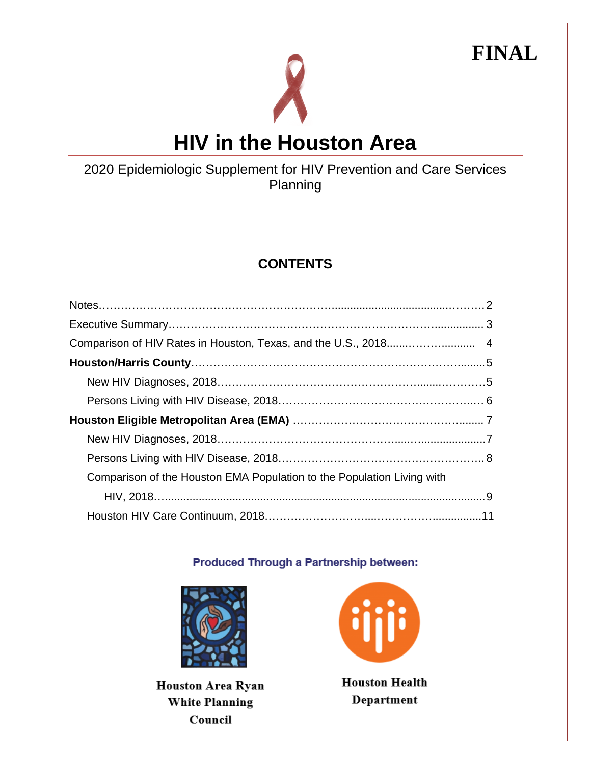**FINAL**



## 2020 Epidemiologic Supplement for HIV Prevention and Care Services Planning

# **CONTENTS**

| Comparison of the Houston EMA Population to the Population Living with |  |
|------------------------------------------------------------------------|--|
|                                                                        |  |
|                                                                        |  |

#### Produced Through a Partnership between:



**Houston Area Ryan White Planning** Council



**Houston Health** Department

*1*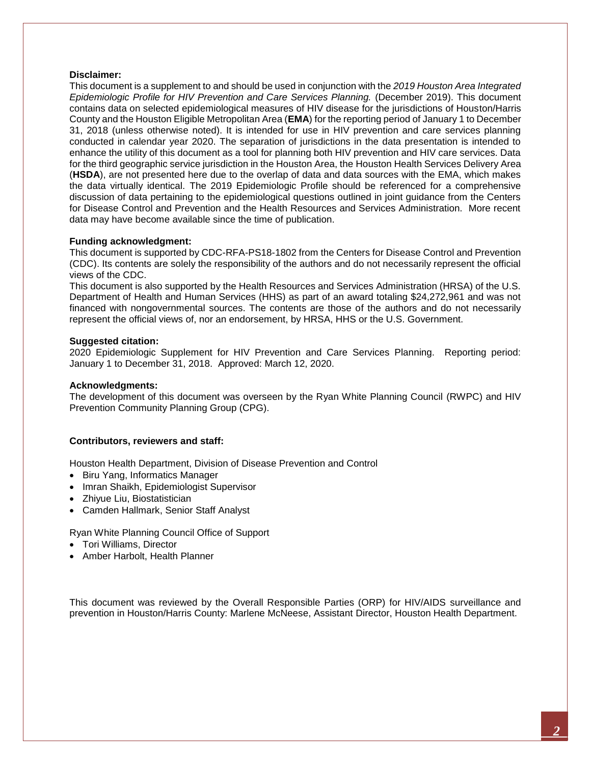#### **Disclaimer:**

This document is a supplement to and should be used in conjunction with the *2019 Houston Area Integrated Epidemiologic Profile for HIV Prevention and Care Services Planning.* (December 2019). This document contains data on selected epidemiological measures of HIV disease for the jurisdictions of Houston/Harris County and the Houston Eligible Metropolitan Area (**EMA**) for the reporting period of January 1 to December 31, 2018 (unless otherwise noted). It is intended for use in HIV prevention and care services planning conducted in calendar year 2020. The separation of jurisdictions in the data presentation is intended to enhance the utility of this document as a tool for planning both HIV prevention and HIV care services. Data for the third geographic service jurisdiction in the Houston Area, the Houston Health Services Delivery Area (**HSDA**), are not presented here due to the overlap of data and data sources with the EMA, which makes the data virtually identical. The 2019 Epidemiologic Profile should be referenced for a comprehensive discussion of data pertaining to the epidemiological questions outlined in joint guidance from the Centers for Disease Control and Prevention and the Health Resources and Services Administration. More recent data may have become available since the time of publication.

#### **Funding acknowledgment:**

This document is supported by CDC-RFA-PS18-1802 from the Centers for Disease Control and Prevention (CDC). Its contents are solely the responsibility of the authors and do not necessarily represent the official views of the CDC.

This document is also supported by the Health Resources and Services Administration (HRSA) of the U.S. Department of Health and Human Services (HHS) as part of an award totaling \$24,272,961 and was not financed with nongovernmental sources. The contents are those of the authors and do not necessarily represent the official views of, nor an endorsement, by HRSA, HHS or the U.S. Government.

#### **Suggested citation:**

2020 Epidemiologic Supplement for HIV Prevention and Care Services Planning. Reporting period: January 1 to December 31, 2018. Approved: March 12, 2020.

#### **Acknowledgments:**

The development of this document was overseen by the Ryan White Planning Council (RWPC) and HIV Prevention Community Planning Group (CPG).

#### **Contributors, reviewers and staff:**

Houston Health Department, Division of Disease Prevention and Control

- Biru Yang, Informatics Manager
- Imran Shaikh, Epidemiologist Supervisor
- Zhiyue Liu, Biostatistician
- Camden Hallmark, Senior Staff Analyst

Ryan White Planning Council Office of Support

- Tori Williams, Director
- Amber Harbolt, Health Planner

This document was reviewed by the Overall Responsible Parties (ORP) for HIV/AIDS surveillance and prevention in Houston/Harris County: Marlene McNeese, Assistant Director, Houston Health Department.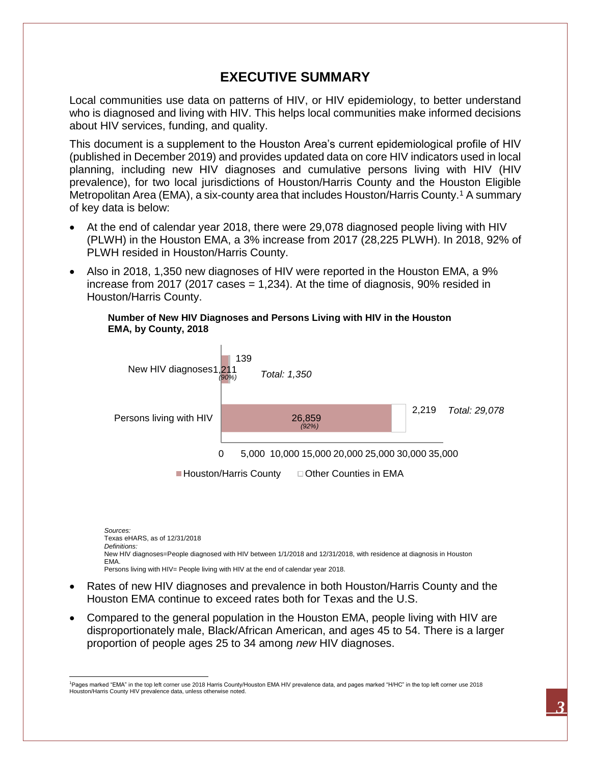## **EXECUTIVE SUMMARY**

Local communities use data on patterns of HIV, or HIV epidemiology, to better understand who is diagnosed and living with HIV. This helps local communities make informed decisions about HIV services, funding, and quality.

This document is a supplement to the Houston Area's current epidemiological profile of HIV (published in December 2019) and provides updated data on core HIV indicators used in local planning, including new HIV diagnoses and cumulative persons living with HIV (HIV prevalence), for two local jurisdictions of Houston/Harris County and the Houston Eligible Metropolitan Area (EMA), a six-county area that includes Houston/Harris County.<sup>1</sup> A summary of key data is below:

- At the end of calendar year 2018, there were 29,078 diagnosed people living with HIV (PLWH) in the Houston EMA, a 3% increase from 2017 (28,225 PLWH). In 2018, 92% of PLWH resided in Houston/Harris County.
- Also in 2018, 1,350 new diagnoses of HIV were reported in the Houston EMA, a 9% increase from 2017 (2017 cases = 1,234). At the time of diagnosis, 90% resided in Houston/Harris County.

#### **Number of New HIV Diagnoses and Persons Living with HIV in the Houston EMA, by County, 2018**



*Sources:* Texas eHARS, as of 12/31/2018 *Definitions:* New HIV diagnoses=People diagnosed with HIV between 1/1/2018 and 12/31/2018, with residence at diagnosis in Houston EMA. Persons living with HIV= People living with HIV at the end of calendar year 2018.

- Rates of new HIV diagnoses and prevalence in both Houston/Harris County and the Houston EMA continue to exceed rates both for Texas and the U.S.
- Compared to the general population in the Houston EMA, people living with HIV are disproportionately male, Black/African American, and ages 45 to 54. There is a larger proportion of people ages 25 to 34 among *new* HIV diagnoses.

 $\overline{\phantom{a}}$ <sup>1</sup>Pages marked "EMA" in the top left corner use 2018 Harris County/Houston EMA HIV prevalence data, and pages marked "H/HC" in the top left corner use 2018 Houston/Harris County HIV prevalence data, unless otherwise noted.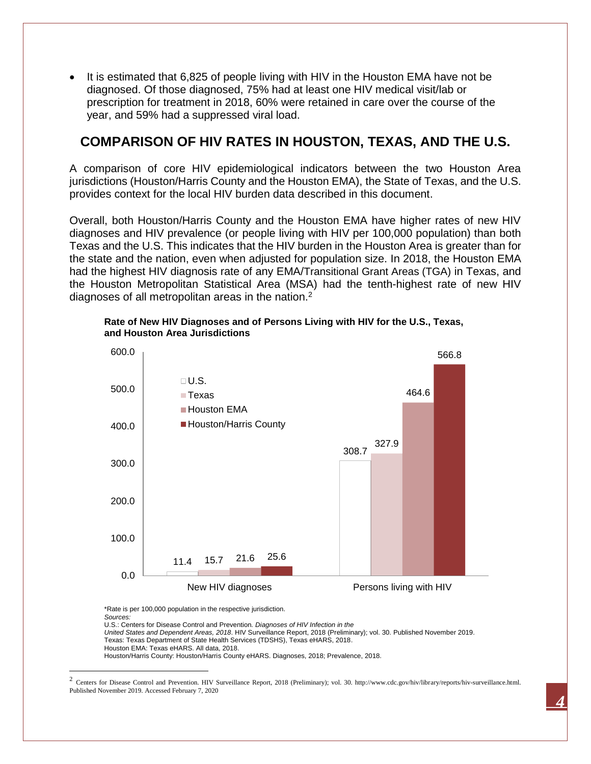It is estimated that 6,825 of people living with HIV in the Houston EMA have not be diagnosed. Of those diagnosed, 75% had at least one HIV medical visit/lab or prescription for treatment in 2018, 60% were retained in care over the course of the year, and 59% had a suppressed viral load.

## **COMPARISON OF HIV RATES IN HOUSTON, TEXAS, AND THE U.S.**

A comparison of core HIV epidemiological indicators between the two Houston Area jurisdictions (Houston/Harris County and the Houston EMA), the State of Texas, and the U.S. provides context for the local HIV burden data described in this document.

Overall, both Houston/Harris County and the Houston EMA have higher rates of new HIV diagnoses and HIV prevalence (or people living with HIV per 100,000 population) than both Texas and the U.S. This indicates that the HIV burden in the Houston Area is greater than for the state and the nation, even when adjusted for population size. In 2018, the Houston EMA had the highest HIV diagnosis rate of any EMA/Transitional Grant Areas (TGA) in Texas, and the Houston Metropolitan Statistical Area (MSA) had the tenth-highest rate of new HIV diagnoses of all metropolitan areas in the nation.<sup>2</sup>



**Rate of New HIV Diagnoses and of Persons Living with HIV for the U.S., Texas, and Houston Area Jurisdictions**

\*Rate is per 100,000 population in the respective jurisdiction. *Sources:* U.S.: Centers for Disease Control and Prevention*. Diagnoses of HIV Infection in the United States and Dependent Areas, 2018*. HIV Surveillance Report, 2018 (Preliminary); vol. 30. Published November 2019. Texas: Texas Department of State Health Services (TDSHS), Texas eHARS, 2018. Houston EMA: Texas eHARS. All data, 2018. Houston/Harris County: Houston/Harris County eHARS. Diagnoses, 2018; Prevalence, 2018.

l

<sup>&</sup>lt;sup>2</sup> Centers for Disease Control and Prevention. HIV Surveillance Report, 2018 (Preliminary); vol. 30. http://www.cdc.gov/hiv/library/reports/hiv-surveillance.html. Published November 2019. Accessed February 7, 2020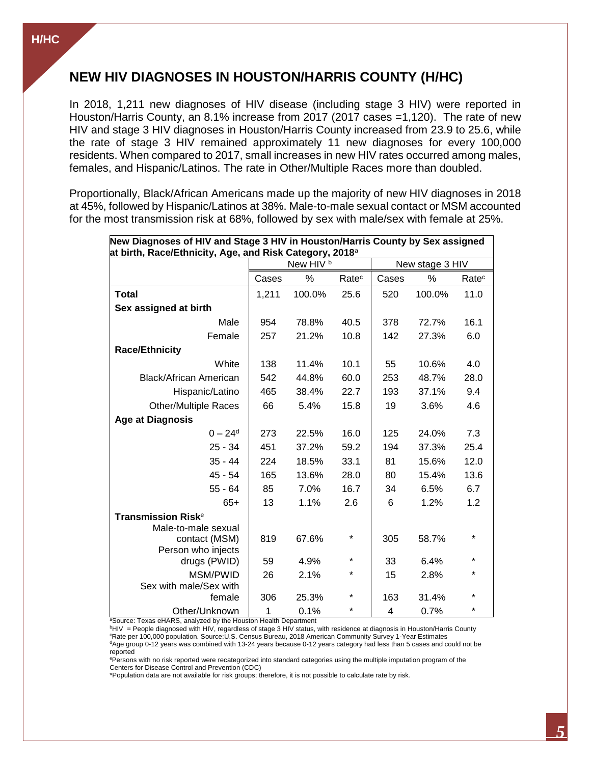## **NEW HIV DIAGNOSES IN HOUSTON/HARRIS COUNTY (H/HC)**

In 2018, 1,211 new diagnoses of HIV disease (including stage 3 HIV) were reported in Houston/Harris County, an 8.1% increase from 2017 (2017 cases =1,120). The rate of new HIV and stage 3 HIV diagnoses in Houston/Harris County increased from 23.9 to 25.6, while the rate of stage 3 HIV remained approximately 11 new diagnoses for every 100,000 residents. When compared to 2017, small increases in new HIV rates occurred among males, females, and Hispanic/Latinos. The rate in Other/Multiple Races more than doubled.

Proportionally, Black/African Americans made up the majority of new HIV diagnoses in 2018 at 45%, followed by Hispanic/Latinos at 38%. Male-to-male sexual contact or MSM accounted for the most transmission risk at 68%, followed by sex with male/sex with female at 25%.

| New Diagnoses of HIV and Stage 3 HIV in Houston/Harris County by Sex assigned<br>at birth, Race/Ethnicity, Age, and Risk Category, 2018ª |                      |        |                   |                 |        |                   |
|------------------------------------------------------------------------------------------------------------------------------------------|----------------------|--------|-------------------|-----------------|--------|-------------------|
|                                                                                                                                          | New HIV <sup>b</sup> |        |                   | New stage 3 HIV |        |                   |
|                                                                                                                                          | Cases                | %      | Rate <sup>c</sup> | Cases           | %      | Rate <sup>c</sup> |
| <b>Total</b>                                                                                                                             | 1,211                | 100.0% | 25.6              | 520             | 100.0% | 11.0              |
| Sex assigned at birth                                                                                                                    |                      |        |                   |                 |        |                   |
| Male                                                                                                                                     | 954                  | 78.8%  | 40.5              | 378             | 72.7%  | 16.1              |
| Female                                                                                                                                   | 257                  | 21.2%  | 10.8              | 142             | 27.3%  | 6.0               |
| <b>Race/Ethnicity</b>                                                                                                                    |                      |        |                   |                 |        |                   |
| White                                                                                                                                    | 138                  | 11.4%  | 10.1              | 55              | 10.6%  | 4.0               |
| <b>Black/African American</b>                                                                                                            | 542                  | 44.8%  | 60.0              | 253             | 48.7%  | 28.0              |
| Hispanic/Latino                                                                                                                          | 465                  | 38.4%  | 22.7              | 193             | 37.1%  | 9.4               |
| <b>Other/Multiple Races</b>                                                                                                              | 66                   | 5.4%   | 15.8              | 19              | 3.6%   | 4.6               |
| <b>Age at Diagnosis</b>                                                                                                                  |                      |        |                   |                 |        |                   |
| $0 - 24^d$                                                                                                                               | 273                  | 22.5%  | 16.0              | 125             | 24.0%  | 7.3               |
| $25 - 34$                                                                                                                                | 451                  | 37.2%  | 59.2              | 194             | 37.3%  | 25.4              |
| $35 - 44$                                                                                                                                | 224                  | 18.5%  | 33.1              | 81              | 15.6%  | 12.0              |
| $45 - 54$                                                                                                                                | 165                  | 13.6%  | 28.0              | 80              | 15.4%  | 13.6              |
| $55 - 64$                                                                                                                                | 85                   | 7.0%   | 16.7              | 34              | 6.5%   | 6.7               |
| $65+$                                                                                                                                    | 13                   | 1.1%   | 2.6               | 6               | 1.2%   | 1.2               |
| <b>Transmission Risk<sup>e</sup></b>                                                                                                     |                      |        |                   |                 |        |                   |
| Male-to-male sexual                                                                                                                      |                      |        | *                 |                 |        | $\star$           |
| contact (MSM)<br>Person who injects                                                                                                      | 819                  | 67.6%  |                   | 305             | 58.7%  |                   |
| drugs (PWID)                                                                                                                             | 59                   | 4.9%   | $\star$           | 33              | 6.4%   | $\star$           |
| MSM/PWID                                                                                                                                 | 26                   | 2.1%   | $^\star$          | 15              | 2.8%   | $\star$           |
| Sex with male/Sex with                                                                                                                   |                      |        |                   |                 |        | $\star$           |
| female                                                                                                                                   | 306                  | 25.3%  | $\star$           | 163             | 31.4%  |                   |
| Other/Unknown                                                                                                                            | 1                    | 0.1%   | $\star$           | 4               | 0.7%   | $\star$           |

<sup>a</sup>Source: Texas eHARS, analyzed by the Houston Health Department

<sup>b</sup>HIV = People diagnosed with HIV, regardless of stage 3 HIV status, with residence at diagnosis in Houston/Harris County <sup>c</sup>Rate per 100,000 population. Source:U.S. Census Bureau, 2018 American Community Survey 1-Year Estimates  $dA$ ge group 0-12 years was combined with 13-24 years because 0-12 years category had less than 5 cases and could not be reported

<sup>e</sup>Persons with no risk reported were recategorized into standard categories using the multiple imputation program of the Centers for Disease Control and Prevention (CDC)

\*Population data are not available for risk groups; therefore, it is not possible to calculate rate by risk.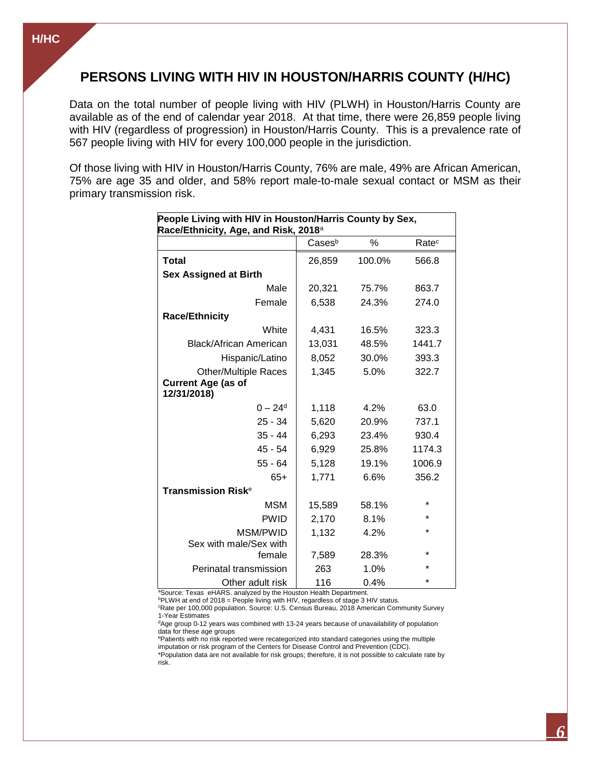## **PERSONS LIVING WITH HIV IN HOUSTON/HARRIS COUNTY (H/HC)**

Data on the total number of people living with HIV (PLWH) in Houston/Harris County are available as of the end of calendar year 2018. At that time, there were 26,859 people living with HIV (regardless of progression) in Houston/Harris County. This is a prevalence rate of 567 people living with HIV for every 100,000 people in the jurisdiction.

Of those living with HIV in Houston/Harris County, 76% are male, 49% are African American, 75% are age 35 and older, and 58% report male-to-male sexual contact or MSM as their primary transmission risk.

| People Living with HIV in Houston/Harris County by Sex,<br>Race/Ethnicity, Age, and Risk, 2018 <sup>a</sup> |        |        |                   |  |
|-------------------------------------------------------------------------------------------------------------|--------|--------|-------------------|--|
|                                                                                                             | Casesb | $\%$   | Rate <sup>c</sup> |  |
| <b>Total</b>                                                                                                | 26,859 | 100.0% | 566.8             |  |
| <b>Sex Assigned at Birth</b>                                                                                |        |        |                   |  |
| Male                                                                                                        | 20,321 | 75.7%  | 863.7             |  |
| Female                                                                                                      | 6,538  | 24.3%  | 274.0             |  |
| <b>Race/Ethnicity</b>                                                                                       |        |        |                   |  |
| White                                                                                                       | 4,431  | 16.5%  | 323.3             |  |
| Black/African American                                                                                      | 13,031 | 48.5%  | 1441.7            |  |
| Hispanic/Latino                                                                                             | 8,052  | 30.0%  | 393.3             |  |
| <b>Other/Multiple Races</b><br><b>Current Age (as of</b><br>12/31/2018)                                     | 1,345  | 5.0%   | 322.7             |  |
| $0 - 24^d$                                                                                                  | 1,118  | 4.2%   | 63.0              |  |
| $25 - 34$                                                                                                   | 5,620  | 20.9%  | 737.1             |  |
| $35 - 44$                                                                                                   | 6,293  | 23.4%  | 930.4             |  |
| $45 - 54$                                                                                                   | 6,929  | 25.8%  | 1174.3            |  |
| $55 - 64$                                                                                                   | 5,128  | 19.1%  | 1006.9            |  |
| $65+$                                                                                                       | 1,771  | 6.6%   | 356.2             |  |
| Transmission Risk $\rm ^e$                                                                                  |        |        |                   |  |
| <b>MSM</b>                                                                                                  | 15,589 | 58.1%  | $\star$           |  |
| <b>PWID</b>                                                                                                 | 2,170  | 8.1%   | $\star$           |  |
| MSM/PWID<br>Sex with male/Sex with                                                                          | 1,132  | 4.2%   | $\star$           |  |
| female                                                                                                      | 7,589  | 28.3%  | $\star$           |  |
| Perinatal transmission                                                                                      | 263    | 1.0%   | *                 |  |
| Other adult risk                                                                                            | 116    | 0.4%   | *                 |  |

aSource: Texas eHARS. analyzed by the Houston Health Department.

bPLWH at end of 2018 = People living with HIV, regardless of stage 3 HIV status.

<sup>c</sup>Rate per 100,000 population. Source: U.S. Census Bureau, 2018 American Community Survey 1-Year Estimates

<sup>d</sup>Age group 0-12 years was combined with 13-24 years because of unavailability of population data for these age groups

<sup>e</sup>Patients with no risk reported were recategorized into standard categories using the multiple imputation or risk program of the Centers for Disease Control and Prevention (CDC).

\*Population data are not available for risk groups; therefore, it is not possible to calculate rate by risk.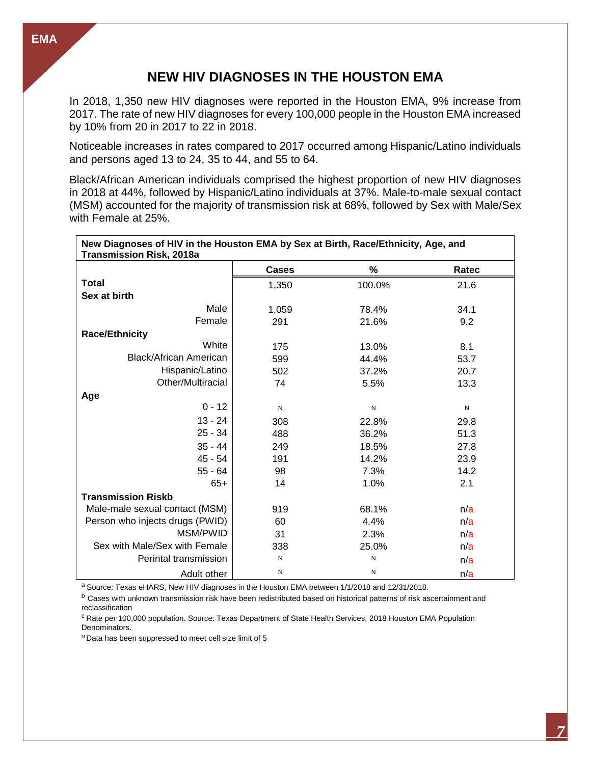## **NEW HIV DIAGNOSES IN THE HOUSTON EMA**

In 2018, 1,350 new HIV diagnoses were reported in the Houston EMA, 9% increase from 2017. The rate of new HIV diagnoses for every 100,000 people in the Houston EMA increased by 10% from 20 in 2017 to 22 in 2018.

Noticeable increases in rates compared to 2017 occurred among Hispanic/Latino individuals and persons aged 13 to 24, 35 to 44, and 55 to 64.

Black/African American individuals comprised the highest proportion of new HIV diagnoses in 2018 at 44%, followed by Hispanic/Latino individuals at 37%. Male-to-male sexual contact (MSM) accounted for the majority of transmission risk at 68%, followed by Sex with Male/Sex with Female at 25%.

| New Diagnoses of HIV in the Houston EMA by Sex at Birth, Race/Ethnicity, Age, and<br><b>Transmission Risk, 2018a</b> |              |           |       |
|----------------------------------------------------------------------------------------------------------------------|--------------|-----------|-------|
|                                                                                                                      | <b>Cases</b> | $\%$      | Ratec |
| <b>Total</b>                                                                                                         | 1,350        | 100.0%    | 21.6  |
| Sex at birth                                                                                                         |              |           |       |
| Male                                                                                                                 | 1,059        | 78.4%     | 34.1  |
| Female                                                                                                               | 291          | 21.6%     | 9.2   |
| <b>Race/Ethnicity</b>                                                                                                |              |           |       |
| White                                                                                                                | 175          | 13.0%     | 8.1   |
| Black/African American                                                                                               | 599          | 44.4%     | 53.7  |
| Hispanic/Latino                                                                                                      | 502          | 37.2%     | 20.7  |
| Other/Multiracial                                                                                                    | 74           | 5.5%      | 13.3  |
| Age                                                                                                                  |              |           |       |
| $0 - 12$                                                                                                             | N            | ${\sf N}$ | N     |
| $13 - 24$                                                                                                            | 308          | 22.8%     | 29.8  |
| $25 - 34$                                                                                                            | 488          | 36.2%     | 51.3  |
| $35 - 44$                                                                                                            | 249          | 18.5%     | 27.8  |
| $45 - 54$                                                                                                            | 191          | 14.2%     | 23.9  |
| $55 - 64$                                                                                                            | 98           | 7.3%      | 14.2  |
| $65+$                                                                                                                | 14           | 1.0%      | 2.1   |
| <b>Transmission Riskb</b>                                                                                            |              |           |       |
| Male-male sexual contact (MSM)                                                                                       | 919          | 68.1%     | n/a   |
| Person who injects drugs (PWID)                                                                                      | 60           | 4.4%      | n/a   |
| MSM/PWID                                                                                                             | 31           | 2.3%      | n/a   |
| Sex with Male/Sex with Female                                                                                        | 338          | 25.0%     | n/a   |
| Perintal transmission                                                                                                | $\mathsf{N}$ | N         | n/a   |
| Adult other                                                                                                          | ${\sf N}$    | Ν         | n/a   |

a Source: Texas eHARS, New HIV diagnoses in the Houston EMA between 1/1/2018 and 12/31/2018.

b Cases with unknown transmission risk have been redistributed based on historical patterns of risk ascertainment and reclassification

<sup>c</sup> Rate per 100,000 population. Source: Texas Department of State Health Services, 2018 Houston EMA Population Denominators.

<sup>N</sup> Data has been suppressed to meet cell size limit of 5

**EMA**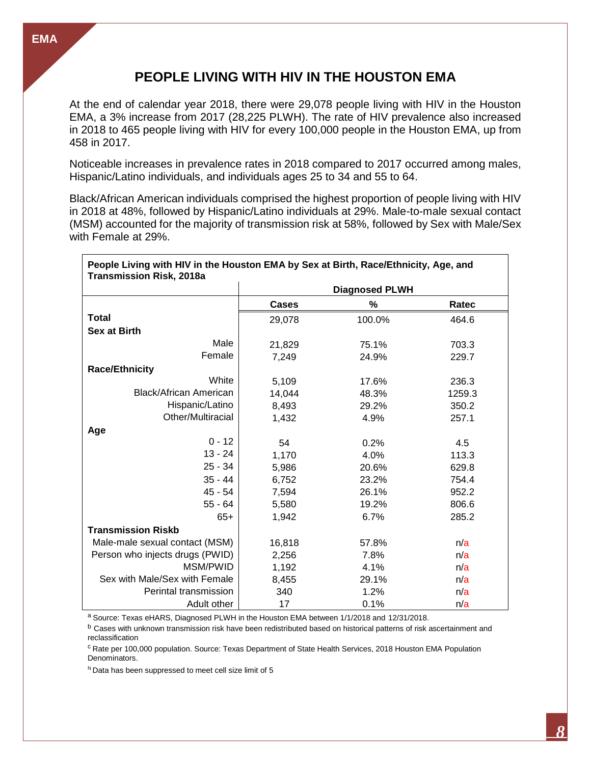## **PEOPLE LIVING WITH HIV IN THE HOUSTON EMA**

At the end of calendar year 2018, there were 29,078 people living with HIV in the Houston EMA, a 3% increase from 2017 (28,225 PLWH). The rate of HIV prevalence also increased in 2018 to 465 people living with HIV for every 100,000 people in the Houston EMA, up from 458 in 2017.

Noticeable increases in prevalence rates in 2018 compared to 2017 occurred among males, Hispanic/Latino individuals, and individuals ages 25 to 34 and 55 to 64.

Black/African American individuals comprised the highest proportion of people living with HIV in 2018 at 48%, followed by Hispanic/Latino individuals at 29%. Male-to-male sexual contact (MSM) accounted for the majority of transmission risk at 58%, followed by Sex with Male/Sex with Female at 29%.

| People Living with HIV in the Houston EMA by Sex at Birth, Race/Ethnicity, Age, and<br><b>Transmission Risk, 2018a</b> |                       |        |        |  |
|------------------------------------------------------------------------------------------------------------------------|-----------------------|--------|--------|--|
|                                                                                                                        | <b>Diagnosed PLWH</b> |        |        |  |
|                                                                                                                        | <b>Cases</b>          | %      | Ratec  |  |
| <b>Total</b>                                                                                                           | 29,078                | 100.0% | 464.6  |  |
| <b>Sex at Birth</b>                                                                                                    |                       |        |        |  |
| Male                                                                                                                   | 21,829                | 75.1%  | 703.3  |  |
| Female                                                                                                                 | 7,249                 | 24.9%  | 229.7  |  |
| <b>Race/Ethnicity</b>                                                                                                  |                       |        |        |  |
| White                                                                                                                  | 5,109                 | 17.6%  | 236.3  |  |
| <b>Black/African American</b>                                                                                          | 14,044                | 48.3%  | 1259.3 |  |
| Hispanic/Latino                                                                                                        | 8,493                 | 29.2%  | 350.2  |  |
| Other/Multiracial                                                                                                      | 1,432                 | 4.9%   | 257.1  |  |
| Age                                                                                                                    |                       |        |        |  |
| $0 - 12$                                                                                                               | 54                    | 0.2%   | 4.5    |  |
| $13 - 24$                                                                                                              | 1,170                 | 4.0%   | 113.3  |  |
| $25 - 34$                                                                                                              | 5,986                 | 20.6%  | 629.8  |  |
| $35 - 44$                                                                                                              | 6,752                 | 23.2%  | 754.4  |  |
| 45 - 54                                                                                                                | 7,594                 | 26.1%  | 952.2  |  |
| $55 - 64$                                                                                                              | 5,580                 | 19.2%  | 806.6  |  |
| $65+$                                                                                                                  | 1,942                 | 6.7%   | 285.2  |  |
| <b>Transmission Riskb</b>                                                                                              |                       |        |        |  |
| Male-male sexual contact (MSM)                                                                                         | 16,818                | 57.8%  | n/a    |  |
| Person who injects drugs (PWID)                                                                                        | 2,256                 | 7.8%   | n/a    |  |
| MSM/PWID                                                                                                               | 1,192                 | 4.1%   | n/a    |  |
| Sex with Male/Sex with Female                                                                                          | 8,455                 | 29.1%  | n/a    |  |
| Perintal transmission                                                                                                  | 340                   | 1.2%   | n/a    |  |
| Adult other                                                                                                            | 17                    | 0.1%   | n/a    |  |

a Source: Texas eHARS, Diagnosed PLWH in the Houston EMA between 1/1/2018 and 12/31/2018.

b Cases with unknown transmission risk have been redistributed based on historical patterns of risk ascertainment and reclassification

<sup>c</sup> Rate per 100,000 population. Source: Texas Department of State Health Services, 2018 Houston EMA Population Denominators.

 $N$  Data has been suppressed to meet cell size limit of 5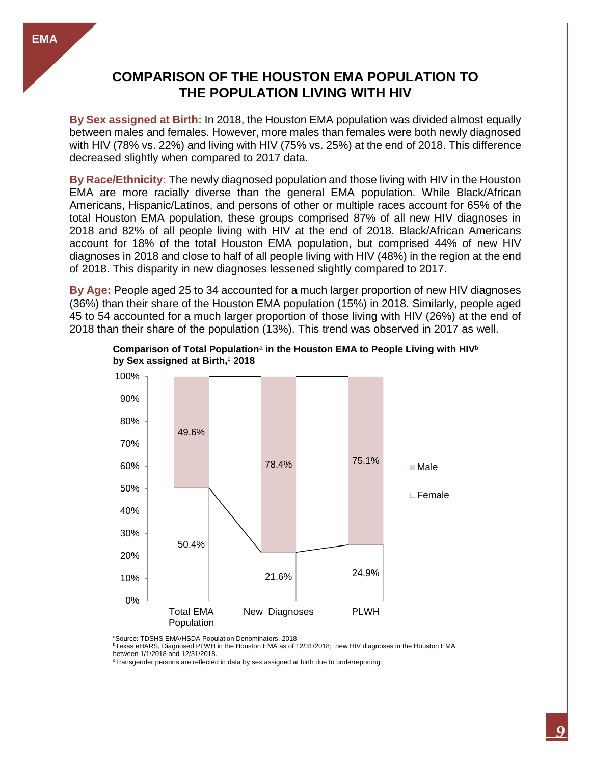## **COMPARISON OF THE HOUSTON EMA POPULATION TO THE POPULATION LIVING WITH HIV**

**By Sex assigned at Birth:** In 2018, the Houston EMA population was divided almost equally between males and females. However, more males than females were both newly diagnosed with HIV (78% vs. 22%) and living with HIV (75% vs. 25%) at the end of 2018. This difference decreased slightly when compared to 2017 data.

**By Race/Ethnicity:** The newly diagnosed population and those living with HIV in the Houston EMA are more racially diverse than the general EMA population. While Black/African Americans, Hispanic/Latinos, and persons of other or multiple races account for 65% of the total Houston EMA population, these groups comprised 87% of all new HIV diagnoses in 2018 and 82% of all people living with HIV at the end of 2018. Black/African Americans account for 18% of the total Houston EMA population, but comprised 44% of new HIV diagnoses in 2018 and close to half of all people living with HIV (48%) in the region at the end of 2018. This disparity in new diagnoses lessened slightly compared to 2017.

**By Age:** People aged 25 to 34 accounted for a much larger proportion of new HIV diagnoses (36%) than their share of the Houston EMA population (15%) in 2018. Similarly, people aged 45 to 54 accounted for a much larger proportion of those living with HIV (26%) at the end of 2018 than their share of the population (13%). This trend was observed in 2017 as well.



**Comparison of Total Population**<sup>a</sup> **in the Houston EMA to People Living with HIV**<sup>b</sup> **by Sex assigned at Birth,** <sup>c</sup> **2018**

<sup>a</sup>Source: TDSHS EMA/HSDA Population Denominators, 2018

<sup>b</sup>Texas eHARS, Diagnosed PLWH in the Houston EMA as of 12/31/2018; new HIV diagnoses in the Houston EMA between 1/1/2018 and 12/31/2018.

<sup>c</sup>Transgender persons are reflected in data by sex assigned at birth due to underreporting.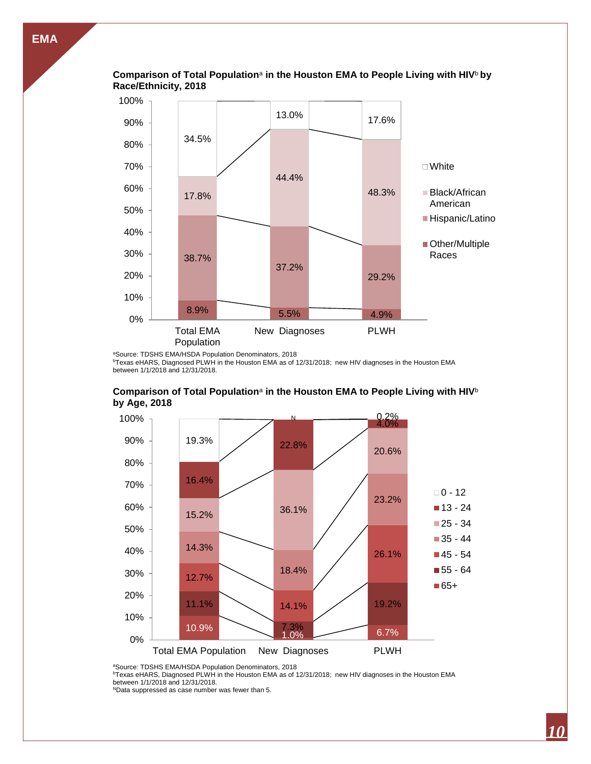

# **Comparison of Total Population**<sup>a</sup> **in the Houston EMA to People Living with HIV**<sup>b</sup> **by**

<sup>a</sup>Source: TDSHS EMA/HSDA Population Denominators, 2018

Total EMA Population

0%

10%

20%

**bTexas eHARS, Diagnosed PLWH in the Houston EMA as of 12/31/2018; new HIV diagnoses in the Houston EMA** between 1/1/2018 and 12/31/2018.

8.9% 5.5% 4.9%

New Diagnoses PLWH

37.2%

29.2%



#### **Comparison of Total Population**<sup>a</sup> **in the Houston EMA to People Living with HIV**<sup>b</sup> **by Age, 2018**

aSource: TDSHS EMA/HSDA Population Denominators, 2018

bTexas eHARS, Diagnosed PLWH in the Houston EMA as of 12/31/2018; new HIV diagnoses in the Houston EMA

between 1/1/2018 and 12/31/2018.

NData suppressed as case number was fewer than 5.